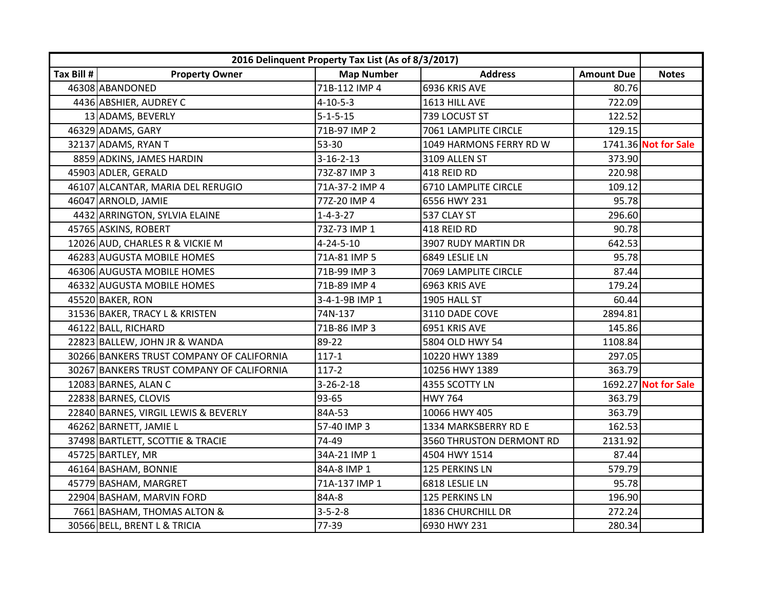|            |                                           | 2016 Delinquent Property Tax List (As of 8/3/2017) |                          |                   |                      |
|------------|-------------------------------------------|----------------------------------------------------|--------------------------|-------------------|----------------------|
| Tax Bill # | <b>Property Owner</b>                     | <b>Map Number</b>                                  | <b>Address</b>           | <b>Amount Due</b> | <b>Notes</b>         |
|            | 46308 ABANDONED                           | 71B-112 IMP 4                                      | 6936 KRIS AVE            | 80.76             |                      |
|            | 4436 ABSHIER, AUDREY C                    | $4 - 10 - 5 - 3$                                   | 1613 HILL AVE            | 722.09            |                      |
|            | 13 ADAMS, BEVERLY                         | $5 - 1 - 5 - 15$                                   | 739 LOCUST ST            | 122.52            |                      |
|            | 46329 ADAMS, GARY                         | 71B-97 IMP 2                                       | 7061 LAMPLITE CIRCLE     | 129.15            |                      |
|            | 32137 ADAMS, RYAN T                       | 53-30                                              | 1049 HARMONS FERRY RD W  |                   | 1741.36 Not for Sale |
|            | 8859 ADKINS, JAMES HARDIN                 | $3 - 16 - 2 - 13$                                  | 3109 ALLEN ST            | 373.90            |                      |
|            | 45903 ADLER, GERALD                       | 73Z-87 IMP 3                                       | 418 REID RD              | 220.98            |                      |
|            | 46107 ALCANTAR, MARIA DEL RERUGIO         | 71A-37-2 IMP 4                                     | 6710 LAMPLITE CIRCLE     | 109.12            |                      |
|            | 46047 ARNOLD, JAMIE                       | 77Z-20 IMP 4                                       | 6556 HWY 231             | 95.78             |                      |
|            | 4432 ARRINGTON, SYLVIA ELAINE             | $1 - 4 - 3 - 27$                                   | 537 CLAY ST              | 296.60            |                      |
|            | 45765 ASKINS, ROBERT                      | 73Z-73 IMP 1                                       | 418 REID RD              | 90.78             |                      |
|            | 12026 AUD, CHARLES R & VICKIE M           | $4 - 24 - 5 - 10$                                  | 3907 RUDY MARTIN DR      | 642.53            |                      |
|            | 46283 AUGUSTA MOBILE HOMES                | 71A-81 IMP 5                                       | 6849 LESLIE LN           | 95.78             |                      |
|            | 46306 AUGUSTA MOBILE HOMES                | 71B-99 IMP 3                                       | 7069 LAMPLITE CIRCLE     | 87.44             |                      |
|            | 46332 AUGUSTA MOBILE HOMES                | 71B-89 IMP 4                                       | 6963 KRIS AVE            | 179.24            |                      |
|            | 45520 BAKER, RON                          | 3-4-1-9B IMP 1                                     | 1905 HALL ST             | 60.44             |                      |
|            | 31536 BAKER, TRACY L & KRISTEN            | 74N-137                                            | 3110 DADE COVE           | 2894.81           |                      |
|            | 46122 BALL, RICHARD                       | 71B-86 IMP 3                                       | 6951 KRIS AVE            | 145.86            |                      |
|            | 22823 BALLEW, JOHN JR & WANDA             | 89-22                                              | 5804 OLD HWY 54          | 1108.84           |                      |
|            | 30266 BANKERS TRUST COMPANY OF CALIFORNIA | $117 - 1$                                          | 10220 HWY 1389           | 297.05            |                      |
|            | 30267 BANKERS TRUST COMPANY OF CALIFORNIA | $117-2$                                            | 10256 HWY 1389           | 363.79            |                      |
|            | 12083 BARNES, ALAN C                      | $3 - 26 - 2 - 18$                                  | 4355 SCOTTY LN           |                   | 1692.27 Not for Sale |
|            | 22838 BARNES, CLOVIS                      | 93-65                                              | <b>HWY 764</b>           | 363.79            |                      |
|            | 22840 BARNES, VIRGIL LEWIS & BEVERLY      | 84A-53                                             | 10066 HWY 405            | 363.79            |                      |
|            | 46262 BARNETT, JAMIE L                    | 57-40 IMP 3                                        | 1334 MARKSBERRY RD E     | 162.53            |                      |
|            | 37498 BARTLETT, SCOTTIE & TRACIE          | 74-49                                              | 3560 THRUSTON DERMONT RD | 2131.92           |                      |
|            | 45725 BARTLEY, MR                         | 34A-21 IMP 1                                       | 4504 HWY 1514            | 87.44             |                      |
|            | 46164 BASHAM, BONNIE                      | 84A-8 IMP 1                                        | 125 PERKINS LN           | 579.79            |                      |
|            | 45779 BASHAM, MARGRET                     | 71A-137 IMP 1                                      | 6818 LESLIE LN           | 95.78             |                      |
|            | 22904 BASHAM, MARVIN FORD                 | 84A-8                                              | 125 PERKINS LN           | 196.90            |                      |
|            | 7661 BASHAM, THOMAS ALTON &               | $3 - 5 - 2 - 8$                                    | 1836 CHURCHILL DR        | 272.24            |                      |
|            | 30566 BELL, BRENT L & TRICIA              | 77-39                                              | 6930 HWY 231             | 280.34            |                      |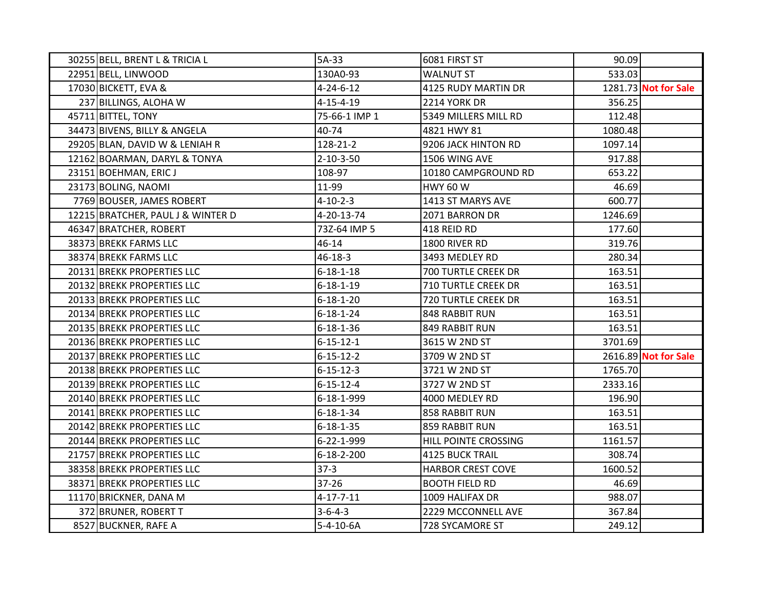| 30255 BELL, BRENT L & TRICIA L    | 5A-33              | 6081 FIRST ST              | 90.09   |                      |
|-----------------------------------|--------------------|----------------------------|---------|----------------------|
| 22951 BELL, LINWOOD               | 130A0-93           | <b>WALNUT ST</b>           | 533.03  |                      |
| 17030 BICKETT, EVA &              | $4 - 24 - 6 - 12$  | 4125 RUDY MARTIN DR        |         | 1281.73 Not for Sale |
| 237 BILLINGS, ALOHA W             | $4 - 15 - 4 - 19$  | 2214 YORK DR               | 356.25  |                      |
| 45711 BITTEL, TONY                | 75-66-1 IMP 1      | 5349 MILLERS MILL RD       | 112.48  |                      |
| 34473 BIVENS, BILLY & ANGELA      | 40-74              | 4821 HWY 81                | 1080.48 |                      |
| 29205 BLAN, DAVID W & LENIAH R    | 128-21-2           | 9206 JACK HINTON RD        | 1097.14 |                      |
| 12162 BOARMAN, DARYL & TONYA      | $2 - 10 - 3 - 50$  | 1506 WING AVE              | 917.88  |                      |
| 23151 BOEHMAN, ERIC J             | 108-97             | 10180 CAMPGROUND RD        | 653.22  |                      |
| 23173 BOLING, NAOMI               | 11-99              | <b>HWY 60 W</b>            | 46.69   |                      |
| 7769 BOUSER, JAMES ROBERT         | $4 - 10 - 2 - 3$   | 1413 ST MARYS AVE          | 600.77  |                      |
| 12215 BRATCHER, PAUL J & WINTER D | 4-20-13-74         | 2071 BARRON DR             | 1246.69 |                      |
| 46347 BRATCHER, ROBERT            | 73Z-64 IMP 5       | 418 REID RD                | 177.60  |                      |
| 38373 BREKK FARMS LLC             | 46-14              | 1800 RIVER RD              | 319.76  |                      |
| 38374 BREKK FARMS LLC             | $46 - 18 - 3$      | 3493 MEDLEY RD             | 280.34  |                      |
| 20131 BREKK PROPERTIES LLC        | $6 - 18 - 1 - 18$  | 700 TURTLE CREEK DR        | 163.51  |                      |
| 20132 BREKK PROPERTIES LLC        | $6 - 18 - 1 - 19$  | <b>710 TURTLE CREEK DR</b> | 163.51  |                      |
| 20133 BREKK PROPERTIES LLC        | $6 - 18 - 1 - 20$  | 720 TURTLE CREEK DR        | 163.51  |                      |
| 20134 BREKK PROPERTIES LLC        | $6 - 18 - 1 - 24$  | 848 RABBIT RUN             | 163.51  |                      |
| 20135 BREKK PROPERTIES LLC        | $6 - 18 - 1 - 36$  | 849 RABBIT RUN             | 163.51  |                      |
| 20136 BREKK PROPERTIES LLC        | $6 - 15 - 12 - 1$  | 3615 W 2ND ST              | 3701.69 |                      |
| 20137 BREKK PROPERTIES LLC        | $6 - 15 - 12 - 2$  | 3709 W 2ND ST              |         | 2616.89 Not for Sale |
| 20138 BREKK PROPERTIES LLC        | $6 - 15 - 12 - 3$  | 3721 W 2ND ST              | 1765.70 |                      |
| 20139 BREKK PROPERTIES LLC        | $6 - 15 - 12 - 4$  | 3727 W 2ND ST              | 2333.16 |                      |
| 20140 BREKK PROPERTIES LLC        | 6-18-1-999         | 4000 MEDLEY RD             | 196.90  |                      |
| 20141 BREKK PROPERTIES LLC        | $6 - 18 - 1 - 34$  | 858 RABBIT RUN             | 163.51  |                      |
| 20142 BREKK PROPERTIES LLC        | $6 - 18 - 1 - 35$  | 859 RABBIT RUN             | 163.51  |                      |
| 20144 BREKK PROPERTIES LLC        | 6-22-1-999         | HILL POINTE CROSSING       | 1161.57 |                      |
| 21757 BREKK PROPERTIES LLC        | $6 - 18 - 2 - 200$ | <b>4125 BUCK TRAIL</b>     | 308.74  |                      |
| 38358 BREKK PROPERTIES LLC        | $37-3$             | <b>HARBOR CREST COVE</b>   | 1600.52 |                      |
| 38371 BREKK PROPERTIES LLC        | 37-26              | <b>BOOTH FIELD RD</b>      | 46.69   |                      |
| 11170 BRICKNER, DANA M            | $4 - 17 - 7 - 11$  | 1009 HALIFAX DR            | 988.07  |                      |
| 372 BRUNER, ROBERT T              | $3 - 6 - 4 - 3$    | 2229 MCCONNELL AVE         | 367.84  |                      |
| 8527 BUCKNER, RAFE A              | $5 - 4 - 10 - 6A$  | 728 SYCAMORE ST            | 249.12  |                      |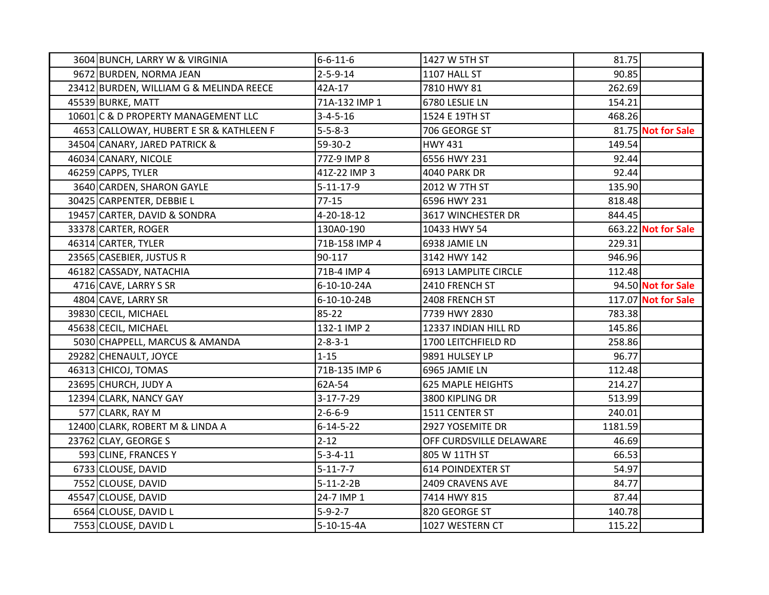| 3604 BUNCH, LARRY W & VIRGINIA          | $6 - 6 - 11 - 6$  | 1427 W 5TH ST            | 81.75   |                     |
|-----------------------------------------|-------------------|--------------------------|---------|---------------------|
| 9672 BURDEN, NORMA JEAN                 | $2 - 5 - 9 - 14$  | 1107 HALL ST             | 90.85   |                     |
| 23412 BURDEN, WILLIAM G & MELINDA REECE | 42A-17            | 7810 HWY 81              | 262.69  |                     |
| 45539 BURKE, MATT                       | 71A-132 IMP 1     | 6780 LESLIE LN           | 154.21  |                     |
| 10601 C & D PROPERTY MANAGEMENT LLC     | $3 - 4 - 5 - 16$  | 1524 E 19TH ST           | 468.26  |                     |
| 4653 CALLOWAY, HUBERT E SR & KATHLEEN F | $5 - 5 - 8 - 3$   | 706 GEORGE ST            |         | 81.75 Not for Sale  |
| 34504 CANARY, JARED PATRICK &           | $59-30-2$         | <b>HWY 431</b>           | 149.54  |                     |
| 46034 CANARY, NICOLE                    | 77Z-9 IMP 8       | 6556 HWY 231             | 92.44   |                     |
| 46259 CAPPS, TYLER                      | 41Z-22 IMP 3      | <b>4040 PARK DR</b>      | 92.44   |                     |
| 3640 CARDEN, SHARON GAYLE               | $5 - 11 - 17 - 9$ | 2012 W 7TH ST            | 135.90  |                     |
| 30425 CARPENTER, DEBBIE L               | $77-15$           | 6596 HWY 231             | 818.48  |                     |
| 19457 CARTER, DAVID & SONDRA            | 4-20-18-12        | 3617 WINCHESTER DR       | 844.45  |                     |
| 33378 CARTER, ROGER                     | 130A0-190         | 10433 HWY 54             |         | 663.22 Not for Sale |
| 46314 CARTER, TYLER                     | 71B-158 IMP 4     | 6938 JAMIE LN            | 229.31  |                     |
| 23565 CASEBIER, JUSTUS R                | 90-117            | 3142 HWY 142             | 946.96  |                     |
| 46182 CASSADY, NATACHIA                 | 71B-4 IMP 4       | 6913 LAMPLITE CIRCLE     | 112.48  |                     |
| 4716 CAVE, LARRY S SR                   | 6-10-10-24A       | 2410 FRENCH ST           |         | 94.50 Not for Sale  |
| 4804 CAVE, LARRY SR                     | 6-10-10-24B       | 2408 FRENCH ST           |         | 117.07 Not for Sale |
| 39830 CECIL, MICHAEL                    | 85-22             | 7739 HWY 2830            | 783.38  |                     |
| 45638 CECIL, MICHAEL                    | 132-1 IMP 2       | 12337 INDIAN HILL RD     | 145.86  |                     |
| 5030 CHAPPELL, MARCUS & AMANDA          | $2 - 8 - 3 - 1$   | 1700 LEITCHFIELD RD      | 258.86  |                     |
| 29282 CHENAULT, JOYCE                   | $1 - 15$          | 9891 HULSEY LP           | 96.77   |                     |
| 46313 CHICOJ, TOMAS                     | 71B-135 IMP 6     | 6965 JAMIE LN            | 112.48  |                     |
| 23695 CHURCH, JUDY A                    | 62A-54            | <b>625 MAPLE HEIGHTS</b> | 214.27  |                     |
| 12394 CLARK, NANCY GAY                  | $3 - 17 - 7 - 29$ | 3800 KIPLING DR          | 513.99  |                     |
| 577 CLARK, RAY M                        | $2 - 6 - 6 - 9$   | 1511 CENTER ST           | 240.01  |                     |
| 12400 CLARK, ROBERT M & LINDA A         | $6 - 14 - 5 - 22$ | 2927 YOSEMITE DR         | 1181.59 |                     |
| 23762 CLAY, GEORGE S                    | $2 - 12$          | OFF CURDSVILLE DELAWARE  | 46.69   |                     |
| 593 CLINE, FRANCES Y                    | $5 - 3 - 4 - 11$  | 805 W 11TH ST            | 66.53   |                     |
| 6733 CLOUSE, DAVID                      | $5 - 11 - 7 - 7$  | <b>614 POINDEXTER ST</b> | 54.97   |                     |
| 7552 CLOUSE, DAVID                      | $5 - 11 - 2 - 2B$ | 2409 CRAVENS AVE         | 84.77   |                     |
| 45547 CLOUSE, DAVID                     | 24-7 IMP 1        | 7414 HWY 815             | 87.44   |                     |
| 6564 CLOUSE, DAVID L                    | $5 - 9 - 2 - 7$   | 820 GEORGE ST            | 140.78  |                     |
| 7553 CLOUSE, DAVID L                    | 5-10-15-4A        | 1027 WESTERN CT          | 115.22  |                     |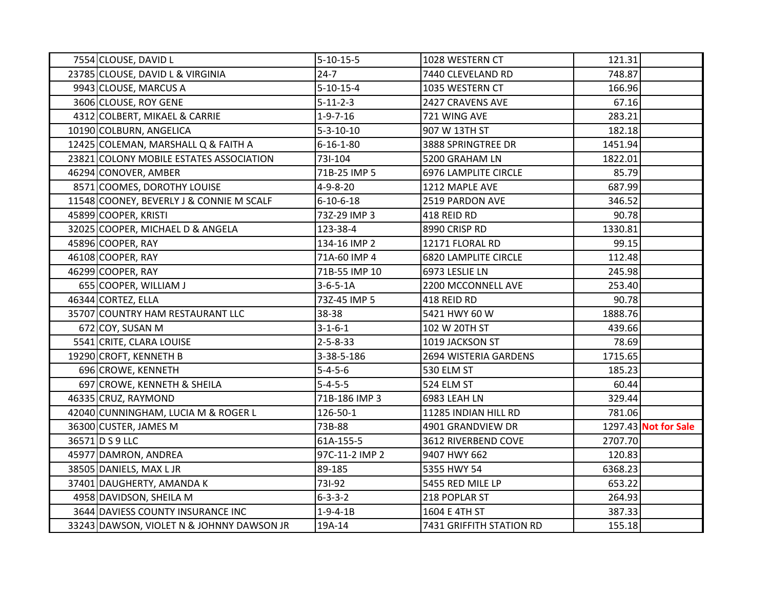| 7554 CLOUSE, DAVID L                      | $5 - 10 - 15 - 5$ | 1028 WESTERN CT             | 121.31  |                      |
|-------------------------------------------|-------------------|-----------------------------|---------|----------------------|
| 23785 CLOUSE, DAVID L & VIRGINIA          | $24 - 7$          | 7440 CLEVELAND RD           | 748.87  |                      |
| 9943 CLOUSE, MARCUS A                     | $5 - 10 - 15 - 4$ | 1035 WESTERN CT             | 166.96  |                      |
| 3606 CLOUSE, ROY GENE                     | $5 - 11 - 2 - 3$  | 2427 CRAVENS AVE            | 67.16   |                      |
| 4312 COLBERT, MIKAEL & CARRIE             | $1 - 9 - 7 - 16$  | 721 WING AVE                | 283.21  |                      |
| 10190 COLBURN, ANGELICA                   | $5 - 3 - 10 - 10$ | 907 W 13TH ST               | 182.18  |                      |
| 12425 COLEMAN, MARSHALL Q & FAITH A       | $6 - 16 - 1 - 80$ | 3888 SPRINGTREE DR          | 1451.94 |                      |
| 23821 COLONY MOBILE ESTATES ASSOCIATION   | 731-104           | 5200 GRAHAM LN              | 1822.01 |                      |
| 46294 CONOVER, AMBER                      | 71B-25 IMP 5      | 6976 LAMPLITE CIRCLE        | 85.79   |                      |
| 8571 COOMES, DOROTHY LOUISE               | $4 - 9 - 8 - 20$  | 1212 MAPLE AVE              | 687.99  |                      |
| 11548 COONEY, BEVERLY J & CONNIE M SCALF  | 6-10-6-18         | 2519 PARDON AVE             | 346.52  |                      |
| 45899 COOPER, KRISTI                      | 73Z-29 IMP 3      | 418 REID RD                 | 90.78   |                      |
| 32025 COOPER, MICHAEL D & ANGELA          | 123-38-4          | 8990 CRISP RD               | 1330.81 |                      |
| 45896 COOPER, RAY                         | 134-16 IMP 2      | 12171 FLORAL RD             | 99.15   |                      |
| 46108 COOPER, RAY                         | 71A-60 IMP 4      | <b>6820 LAMPLITE CIRCLE</b> | 112.48  |                      |
| 46299 COOPER, RAY                         | 71B-55 IMP 10     | 6973 LESLIE LN              | 245.98  |                      |
| 655 COOPER, WILLIAM J                     | $3-6-5-1A$        | 2200 MCCONNELL AVE          | 253.40  |                      |
| 46344 CORTEZ, ELLA                        | 73Z-45 IMP 5      | 418 REID RD                 | 90.78   |                      |
| 35707 COUNTRY HAM RESTAURANT LLC          | 38-38             | 5421 HWY 60 W               | 1888.76 |                      |
| 672 COY, SUSAN M                          | $3 - 1 - 6 - 1$   | 102 W 20TH ST               | 439.66  |                      |
| 5541 CRITE, CLARA LOUISE                  | $2 - 5 - 8 - 33$  | 1019 JACKSON ST             | 78.69   |                      |
| 19290 CROFT, KENNETH B                    | 3-38-5-186        | 2694 WISTERIA GARDENS       | 1715.65 |                      |
| 696 CROWE, KENNETH                        | $5 - 4 - 5 - 6$   | 530 ELM ST                  | 185.23  |                      |
| 697 CROWE, KENNETH & SHEILA               | $5 - 4 - 5 - 5$   | 524 ELM ST                  | 60.44   |                      |
| 46335 CRUZ, RAYMOND                       | 71B-186 IMP 3     | 6983 LEAH LN                | 329.44  |                      |
| 42040 CUNNINGHAM, LUCIA M & ROGER L       | 126-50-1          | 11285 INDIAN HILL RD        | 781.06  |                      |
| 36300 CUSTER, JAMES M                     | 73B-88            | 4901 GRANDVIEW DR           |         | 1297.43 Not for Sale |
| 36571 D S 9 LLC                           | 61A-155-5         | 3612 RIVERBEND COVE         | 2707.70 |                      |
| 45977 DAMRON, ANDREA                      | 97C-11-2 IMP 2    | 9407 HWY 662                | 120.83  |                      |
| 38505 DANIELS, MAX L JR                   | 89-185            | 5355 HWY 54                 | 6368.23 |                      |
| 37401 DAUGHERTY, AMANDA K                 | 731-92            | 5455 RED MILE LP            | 653.22  |                      |
| 4958 DAVIDSON, SHEILA M                   | $6 - 3 - 3 - 2$   | 218 POPLAR ST               | 264.93  |                      |
| 3644 DAVIESS COUNTY INSURANCE INC         | $1 - 9 - 4 - 1B$  | 1604 E 4TH ST               | 387.33  |                      |
| 33243 DAWSON, VIOLET N & JOHNNY DAWSON JR | 19A-14            | 7431 GRIFFITH STATION RD    | 155.18  |                      |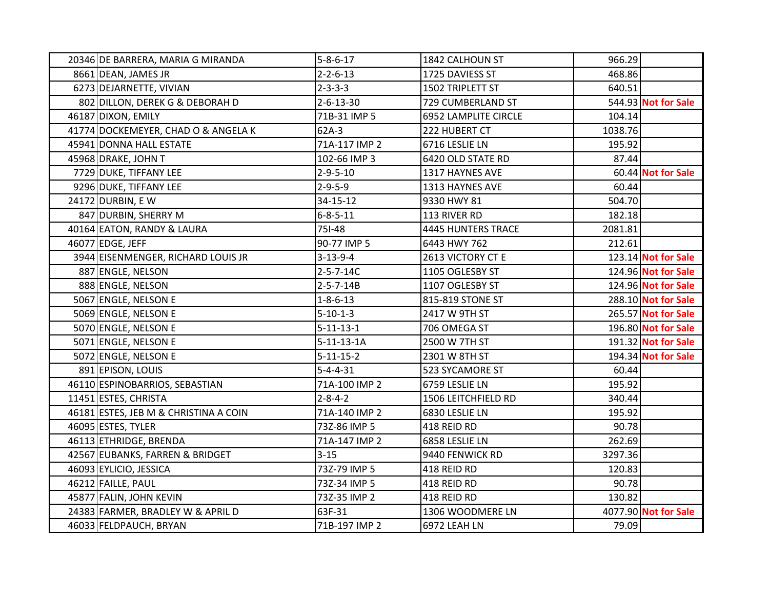| 20346 DE BARRERA, MARIA G MIRANDA     | $5 - 8 - 6 - 17$  | 1842 CALHOUN ST             | 966.29  |                      |
|---------------------------------------|-------------------|-----------------------------|---------|----------------------|
| 8661 DEAN, JAMES JR                   | $2 - 2 - 6 - 13$  | 1725 DAVIESS ST             | 468.86  |                      |
| 6273 DEJARNETTE, VIVIAN               | $2 - 3 - 3 - 3$   | 1502 TRIPLETT ST            | 640.51  |                      |
| 802 DILLON, DEREK G & DEBORAH D       | $2 - 6 - 13 - 30$ | 729 CUMBERLAND ST           |         | 544.93 Not for Sale  |
| 46187 DIXON, EMILY                    | 71B-31 IMP 5      | <b>6952 LAMPLITE CIRCLE</b> | 104.14  |                      |
| 41774 DOCKEMEYER, CHAD O & ANGELA K   | 62A-3             | 222 HUBERT CT               | 1038.76 |                      |
| 45941 DONNA HALL ESTATE               | 71A-117 IMP 2     | 6716 LESLIE LN              | 195.92  |                      |
| 45968 DRAKE, JOHN T                   | 102-66 IMP 3      | 6420 OLD STATE RD           | 87.44   |                      |
| 7729 DUKE, TIFFANY LEE                | $2 - 9 - 5 - 10$  | 1317 HAYNES AVE             |         | 60.44 Not for Sale   |
| 9296 DUKE, TIFFANY LEE                | $2 - 9 - 5 - 9$   | 1313 HAYNES AVE             | 60.44   |                      |
| 24172 DURBIN, EW                      | 34-15-12          | 9330 HWY 81                 | 504.70  |                      |
| 847 DURBIN, SHERRY M                  | $6 - 8 - 5 - 11$  | 113 RIVER RD                | 182.18  |                      |
| 40164 EATON, RANDY & LAURA            | 751-48            | 4445 HUNTERS TRACE          | 2081.81 |                      |
| 46077 EDGE, JEFF                      | 90-77 IMP 5       | 6443 HWY 762                | 212.61  |                      |
| 3944 EISENMENGER, RICHARD LOUIS JR    | $3 - 13 - 9 - 4$  | 2613 VICTORY CT E           |         | 123.14 Not for Sale  |
| 887 ENGLE, NELSON                     | $2 - 5 - 7 - 14C$ | 1105 OGLESBY ST             |         | 124.96 Not for Sale  |
| 888 ENGLE, NELSON                     | $2 - 5 - 7 - 14B$ | 1107 OGLESBY ST             |         | 124.96 Not for Sale  |
| 5067 ENGLE, NELSON E                  | $1 - 8 - 6 - 13$  | 815-819 STONE ST            |         | 288.10 Not for Sale  |
| 5069 ENGLE, NELSON E                  | $5 - 10 - 1 - 3$  | 2417 W 9TH ST               |         | 265.57 Not for Sale  |
| 5070 ENGLE, NELSON E                  | $5 - 11 - 13 - 1$ | 706 OMEGA ST                |         | 196.80 Not for Sale  |
| 5071 ENGLE, NELSON E                  | $5-11-13-1A$      | 2500 W 7TH ST               |         | 191.32 Not for Sale  |
| 5072 ENGLE, NELSON E                  | $5 - 11 - 15 - 2$ | 2301 W 8TH ST               |         | 194.34 Not for Sale  |
| 891 EPISON, LOUIS                     | $5 - 4 - 4 - 31$  | 523 SYCAMORE ST             | 60.44   |                      |
| 46110 ESPINOBARRIOS, SEBASTIAN        | 71A-100 IMP 2     | 6759 LESLIE LN              | 195.92  |                      |
| 11451 ESTES, CHRISTA                  | $2 - 8 - 4 - 2$   | 1506 LEITCHFIELD RD         | 340.44  |                      |
| 46181 ESTES, JEB M & CHRISTINA A COIN | 71A-140 IMP 2     | 6830 LESLIE LN              | 195.92  |                      |
| 46095 ESTES, TYLER                    | 73Z-86 IMP 5      | 418 REID RD                 | 90.78   |                      |
| 46113 ETHRIDGE, BRENDA                | 71A-147 IMP 2     | 6858 LESLIE LN              | 262.69  |                      |
| 42567 EUBANKS, FARREN & BRIDGET       | $3 - 15$          | 9440 FENWICK RD             | 3297.36 |                      |
| 46093 EYLICIO, JESSICA                | 73Z-79 IMP 5      | 418 REID RD                 | 120.83  |                      |
| 46212 FAILLE, PAUL                    | 73Z-34 IMP 5      | 418 REID RD                 | 90.78   |                      |
| 45877 FALIN, JOHN KEVIN               | 73Z-35 IMP 2      | 418 REID RD                 | 130.82  |                      |
| 24383 FARMER, BRADLEY W & APRIL D     | 63F-31            | 1306 WOODMERE LN            |         | 4077.90 Not for Sale |
| 46033 FELDPAUCH, BRYAN                | 71B-197 IMP 2     | 6972 LEAH LN                | 79.09   |                      |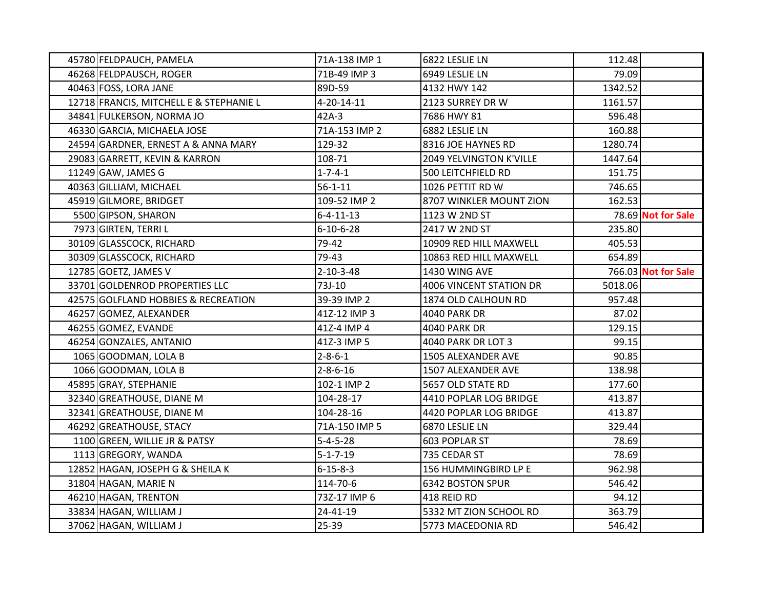| 45780 FELDPAUCH, PAMELA                 | 71A-138 IMP 1     | 6822 LESLIE LN          | 112.48  |                           |
|-----------------------------------------|-------------------|-------------------------|---------|---------------------------|
| 46268 FELDPAUSCH, ROGER                 | 71B-49 IMP 3      | 6949 LESLIE LN          | 79.09   |                           |
| 40463 FOSS, LORA JANE                   | 89D-59            | 4132 HWY 142            | 1342.52 |                           |
| 12718 FRANCIS, MITCHELL E & STEPHANIE L | 4-20-14-11        | 2123 SURREY DR W        | 1161.57 |                           |
| 34841 FULKERSON, NORMA JO               | $42A-3$           | 7686 HWY 81             | 596.48  |                           |
| 46330 GARCIA, MICHAELA JOSE             | 71A-153 IMP 2     | 6882 LESLIE LN          | 160.88  |                           |
| 24594 GARDNER, ERNEST A & ANNA MARY     | 129-32            | 8316 JOE HAYNES RD      | 1280.74 |                           |
| 29083 GARRETT, KEVIN & KARRON           | 108-71            | 2049 YELVINGTON K'VILLE | 1447.64 |                           |
| 11249 GAW, JAMES G                      | $1 - 7 - 4 - 1$   | 500 LEITCHFIELD RD      | 151.75  |                           |
| 40363 GILLIAM, MICHAEL                  | $56 - 1 - 11$     | 1026 PETTIT RD W        | 746.65  |                           |
| 45919 GILMORE, BRIDGET                  | 109-52 IMP 2      | 8707 WINKLER MOUNT ZION | 162.53  |                           |
| 5500 GIPSON, SHARON                     | $6 - 4 - 11 - 13$ | 1123 W 2ND ST           |         | 78.69 <b>Not for Sale</b> |
| 7973 GIRTEN, TERRI L                    | $6 - 10 - 6 - 28$ | 2417 W 2ND ST           | 235.80  |                           |
| 30109 GLASSCOCK, RICHARD                | 79-42             | 10909 RED HILL MAXWELL  | 405.53  |                           |
| 30309 GLASSCOCK, RICHARD                | 79-43             | 10863 RED HILL MAXWELL  | 654.89  |                           |
| 12785 GOETZ, JAMES V                    | 2-10-3-48         | 1430 WING AVE           |         | 766.03 Not for Sale       |
| 33701 GOLDENROD PROPERTIES LLC          | 73J-10            | 4006 VINCENT STATION DR | 5018.06 |                           |
| 42575 GOLFLAND HOBBIES & RECREATION     | 39-39 IMP 2       | 1874 OLD CALHOUN RD     | 957.48  |                           |
| 46257 GOMEZ, ALEXANDER                  | 41Z-12 IMP 3      | 4040 PARK DR            | 87.02   |                           |
| 46255 GOMEZ, EVANDE                     | 41Z-4 IMP 4       | <b>4040 PARK DR</b>     | 129.15  |                           |
| 46254 GONZALES, ANTANIO                 | 41Z-3 IMP 5       | 4040 PARK DR LOT 3      | 99.15   |                           |
| 1065 GOODMAN, LOLA B                    | $2 - 8 - 6 - 1$   | 1505 ALEXANDER AVE      | 90.85   |                           |
| 1066 GOODMAN, LOLA B                    | $2 - 8 - 6 - 16$  | 1507 ALEXANDER AVE      | 138.98  |                           |
| 45895 GRAY, STEPHANIE                   | 102-1 IMP 2       | 5657 OLD STATE RD       | 177.60  |                           |
| 32340 GREATHOUSE, DIANE M               | 104-28-17         | 4410 POPLAR LOG BRIDGE  | 413.87  |                           |
| 32341 GREATHOUSE, DIANE M               | 104-28-16         | 4420 POPLAR LOG BRIDGE  | 413.87  |                           |
| 46292 GREATHOUSE, STACY                 | 71A-150 IMP 5     | 6870 LESLIE LN          | 329.44  |                           |
| 1100 GREEN, WILLIE JR & PATSY           | $5 - 4 - 5 - 28$  | 603 POPLAR ST           | 78.69   |                           |
| 1113 GREGORY, WANDA                     | $5 - 1 - 7 - 19$  | 735 CEDAR ST            | 78.69   |                           |
| 12852 HAGAN, JOSEPH G & SHEILA K        | $6 - 15 - 8 - 3$  | 156 HUMMINGBIRD LP E    | 962.98  |                           |
| 31804 HAGAN, MARIE N                    | 114-70-6          | <b>6342 BOSTON SPUR</b> | 546.42  |                           |
| 46210 HAGAN, TRENTON                    | 73Z-17 IMP 6      | 418 REID RD             | 94.12   |                           |
| 33834 HAGAN, WILLIAM J                  | 24-41-19          | 5332 MT ZION SCHOOL RD  | 363.79  |                           |
| 37062 HAGAN, WILLIAM J                  | 25-39             | 5773 MACEDONIA RD       | 546.42  |                           |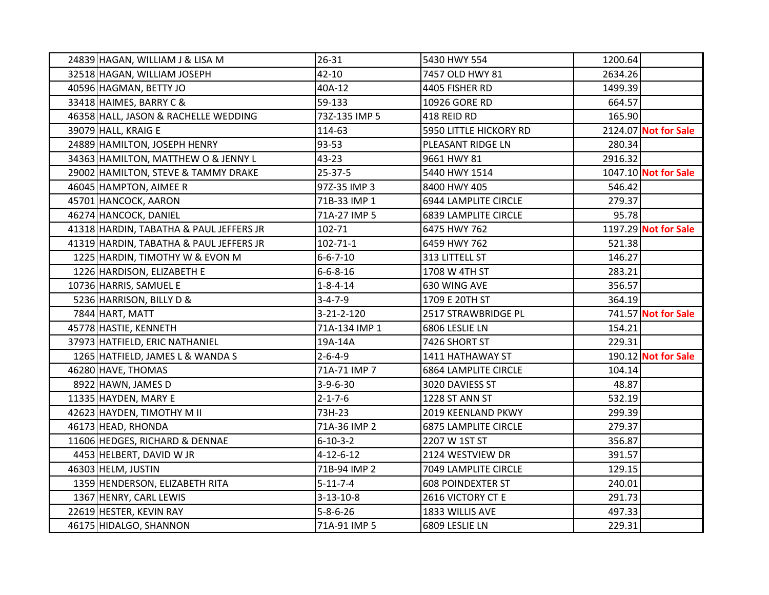| 24839 HAGAN, WILLIAM J & LISA M         | $26 - 31$         | 5430 HWY 554                | 1200.64 |                      |
|-----------------------------------------|-------------------|-----------------------------|---------|----------------------|
| 32518 HAGAN, WILLIAM JOSEPH             | $42 - 10$         | 7457 OLD HWY 81             | 2634.26 |                      |
| 40596 HAGMAN, BETTY JO                  | 40A-12            | 4405 FISHER RD              | 1499.39 |                      |
| 33418 HAIMES, BARRY C &                 | 59-133            | 10926 GORE RD               | 664.57  |                      |
| 46358 HALL, JASON & RACHELLE WEDDING    | 73Z-135 IMP 5     | 418 REID RD                 | 165.90  |                      |
| 39079 HALL, KRAIG E                     | 114-63            | 5950 LITTLE HICKORY RD      |         | 2124.07 Not for Sale |
| 24889 HAMILTON, JOSEPH HENRY            | 93-53             | PLEASANT RIDGE LN           | 280.34  |                      |
| 34363 HAMILTON, MATTHEW O & JENNY L     | 43-23             | 9661 HWY 81                 | 2916.32 |                      |
| 29002 HAMILTON, STEVE & TAMMY DRAKE     | 25-37-5           | 5440 HWY 1514               |         | 1047.10 Not for Sale |
| 46045 HAMPTON, AIMEE R                  | 97Z-35 IMP 3      | 8400 HWY 405                | 546.42  |                      |
| 45701 HANCOCK, AARON                    | 71B-33 IMP 1      | 6944 LAMPLITE CIRCLE        | 279.37  |                      |
| 46274 HANCOCK, DANIEL                   | 71A-27 IMP 5      | 6839 LAMPLITE CIRCLE        | 95.78   |                      |
| 41318 HARDIN, TABATHA & PAUL JEFFERS JR | 102-71            | 6475 HWY 762                |         | 1197.29 Not for Sale |
| 41319 HARDIN, TABATHA & PAUL JEFFERS JR | $102 - 71 - 1$    | 6459 HWY 762                | 521.38  |                      |
| 1225 HARDIN, TIMOTHY W & EVON M         | $6 - 6 - 7 - 10$  | 313 LITTELL ST              | 146.27  |                      |
| 1226 HARDISON, ELIZABETH E              | $6 - 6 - 8 - 16$  | 1708 W 4TH ST               | 283.21  |                      |
| 10736 HARRIS, SAMUEL E                  | $1 - 8 - 4 - 14$  | 630 WING AVE                | 356.57  |                      |
| 5236 HARRISON, BILLY D &                | $3 - 4 - 7 - 9$   | 1709 E 20TH ST              | 364.19  |                      |
| 7844 HART, MATT                         | 3-21-2-120        | 2517 STRAWBRIDGE PL         |         | 741.57 Not for Sale  |
| 45778 HASTIE, KENNETH                   | 71A-134 IMP 1     | 6806 LESLIE LN              | 154.21  |                      |
| 37973 HATFIELD, ERIC NATHANIEL          | 19A-14A           | 7426 SHORT ST               | 229.31  |                      |
| 1265 HATFIELD, JAMES L & WANDA S        | $2 - 6 - 4 - 9$   | 1411 HATHAWAY ST            |         | 190.12 Not for Sale  |
| 46280 HAVE, THOMAS                      | 71A-71 IMP 7      | <b>6864 LAMPLITE CIRCLE</b> | 104.14  |                      |
| 8922 HAWN, JAMES D                      | $3-9-6-30$        | 3020 DAVIESS ST             | 48.87   |                      |
| 11335 HAYDEN, MARY E                    | $2 - 1 - 7 - 6$   | 1228 ST ANN ST              | 532.19  |                      |
| 42623 HAYDEN, TIMOTHY M II              | 73H-23            | 2019 KEENLAND PKWY          | 299.39  |                      |
| 46173 HEAD, RHONDA                      | 71A-36 IMP 2      | <b>6875 LAMPLITE CIRCLE</b> | 279.37  |                      |
| 11606 HEDGES, RICHARD & DENNAE          | $6 - 10 - 3 - 2$  | 2207 W 1ST ST               | 356.87  |                      |
| 4453 HELBERT, DAVID W JR                | $4 - 12 - 6 - 12$ | 2124 WESTVIEW DR            | 391.57  |                      |
| 46303 HELM, JUSTIN                      | 71B-94 IMP 2      | 7049 LAMPLITE CIRCLE        | 129.15  |                      |
| 1359 HENDERSON, ELIZABETH RITA          | $5 - 11 - 7 - 4$  | <b>608 POINDEXTER ST</b>    | 240.01  |                      |
| 1367 HENRY, CARL LEWIS                  | $3 - 13 - 10 - 8$ | 2616 VICTORY CT E           | 291.73  |                      |
| 22619 HESTER, KEVIN RAY                 | $5 - 8 - 6 - 26$  | 1833 WILLIS AVE             | 497.33  |                      |
| 46175 HIDALGO, SHANNON                  | 71A-91 IMP 5      | 6809 LESLIE LN              | 229.31  |                      |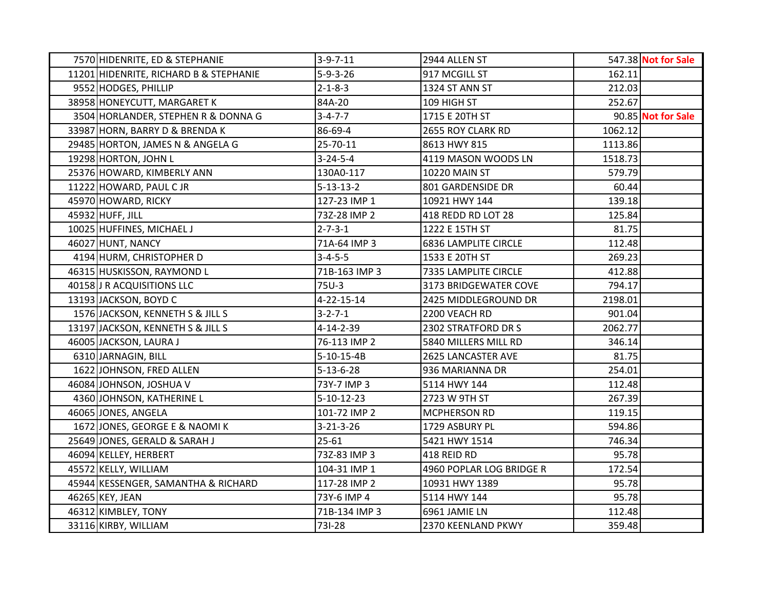| 7570 HIDENRITE, ED & STEPHANIE         | $3-9-7-11$         | 2944 ALLEN ST               |         | 547.38 Not for Sale |
|----------------------------------------|--------------------|-----------------------------|---------|---------------------|
| 11201 HIDENRITE, RICHARD B & STEPHANIE | $5 - 9 - 3 - 26$   | 917 MCGILL ST               | 162.11  |                     |
| 9552 HODGES, PHILLIP                   | $2 - 1 - 8 - 3$    | 1324 ST ANN ST              | 212.03  |                     |
| 38958 HONEYCUTT, MARGARET K            | 84A-20             | 109 HIGH ST                 | 252.67  |                     |
| 3504 HORLANDER, STEPHEN R & DONNA G    | $3 - 4 - 7 - 7$    | 1715 E 20TH ST              |         | 90.85 Not for Sale  |
| 33987 HORN, BARRY D & BRENDA K         | 86-69-4            | 2655 ROY CLARK RD           | 1062.12 |                     |
| 29485 HORTON, JAMES N & ANGELA G       | 25-70-11           | 8613 HWY 815                | 1113.86 |                     |
| 19298 HORTON, JOHN L                   | $3 - 24 - 5 - 4$   | 4119 MASON WOODS LN         | 1518.73 |                     |
| 25376 HOWARD, KIMBERLY ANN             | 130A0-117          | 10220 MAIN ST               | 579.79  |                     |
| 11222 HOWARD, PAUL CJR                 | $5 - 13 - 13 - 2$  | 801 GARDENSIDE DR           | 60.44   |                     |
| 45970 HOWARD, RICKY                    | 127-23 IMP 1       | 10921 HWY 144               | 139.18  |                     |
| 45932 HUFF, JILL                       | 73Z-28 IMP 2       | 418 REDD RD LOT 28          | 125.84  |                     |
| 10025 HUFFINES, MICHAEL J              | $2 - 7 - 3 - 1$    | 1222 E 15TH ST              | 81.75   |                     |
| 46027 HUNT, NANCY                      | 71A-64 IMP 3       | <b>6836 LAMPLITE CIRCLE</b> | 112.48  |                     |
| 4194 HURM, CHRISTOPHER D               | $3 - 4 - 5 - 5$    | 1533 E 20TH ST              | 269.23  |                     |
| 46315 HUSKISSON, RAYMOND L             | 71B-163 IMP 3      | 7335 LAMPLITE CIRCLE        | 412.88  |                     |
| 40158 J R ACQUISITIONS LLC             | 75U-3              | 3173 BRIDGEWATER COVE       | 794.17  |                     |
| 13193 JACKSON, BOYD C                  | 4-22-15-14         | 2425 MIDDLEGROUND DR        | 2198.01 |                     |
| 1576 JACKSON, KENNETH S & JILL S       | $3 - 2 - 7 - 1$    | 2200 VEACH RD               | 901.04  |                     |
| 13197 JACKSON, KENNETH S & JILL S      | 4-14-2-39          | 2302 STRATFORD DR S         | 2062.77 |                     |
| 46005 JACKSON, LAURA J                 | 76-113 IMP 2       | 5840 MILLERS MILL RD        | 346.14  |                     |
| 6310 JARNAGIN, BILL                    | $5-10-15-4B$       | 2625 LANCASTER AVE          | 81.75   |                     |
| 1622 JOHNSON, FRED ALLEN               | $5 - 13 - 6 - 28$  | 936 MARIANNA DR             | 254.01  |                     |
| 46084 JOHNSON, JOSHUA V                | 73Y-7 IMP 3        | 5114 HWY 144                | 112.48  |                     |
| 4360 JOHNSON, KATHERINE L              | $5 - 10 - 12 - 23$ | 2723 W 9TH ST               | 267.39  |                     |
| 46065 JONES, ANGELA                    | 101-72 IMP 2       | MCPHERSON RD                | 119.15  |                     |
| 1672 JONES, GEORGE E & NAOMI K         | $3 - 21 - 3 - 26$  | 1729 ASBURY PL              | 594.86  |                     |
| 25649 JONES, GERALD & SARAH J          | $25 - 61$          | 5421 HWY 1514               | 746.34  |                     |
| 46094 KELLEY, HERBERT                  | 73Z-83 IMP 3       | 418 REID RD                 | 95.78   |                     |
| 45572 KELLY, WILLIAM                   | 104-31 IMP 1       | 4960 POPLAR LOG BRIDGE R    | 172.54  |                     |
| 45944 KESSENGER, SAMANTHA & RICHARD    | 117-28 IMP 2       | 10931 HWY 1389              | 95.78   |                     |
| 46265 KEY, JEAN                        | 73Y-6 IMP 4        | 5114 HWY 144                | 95.78   |                     |
| 46312 KIMBLEY, TONY                    | 71B-134 IMP 3      | 6961 JAMIE LN               | 112.48  |                     |
| 33116 KIRBY, WILLIAM                   | 731-28             | 2370 KEENLAND PKWY          | 359.48  |                     |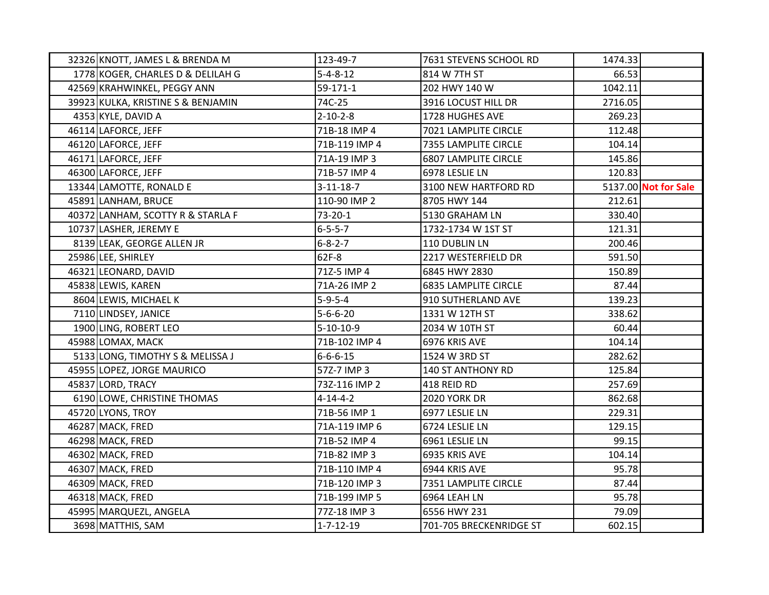| 32326 KNOTT, JAMES L & BRENDA M    | 123-49-7          | 7631 STEVENS SCHOOL RD      | 1474.33 |                      |
|------------------------------------|-------------------|-----------------------------|---------|----------------------|
| 1778 KOGER, CHARLES D & DELILAH G  | $5 - 4 - 8 - 12$  | 814 W 7TH ST                | 66.53   |                      |
| 42569 KRAHWINKEL, PEGGY ANN        | 59-171-1          | 202 HWY 140 W               | 1042.11 |                      |
| 39923 KULKA, KRISTINE S & BENJAMIN | 74C-25            | 3916 LOCUST HILL DR         | 2716.05 |                      |
| 4353 KYLE, DAVID A                 | $2 - 10 - 2 - 8$  | 1728 HUGHES AVE             | 269.23  |                      |
| 46114 LAFORCE, JEFF                | 71B-18 IMP 4      | 7021 LAMPLITE CIRCLE        | 112.48  |                      |
| 46120 LAFORCE, JEFF                | 71B-119 IMP 4     | 7355 LAMPLITE CIRCLE        | 104.14  |                      |
| 46171 LAFORCE, JEFF                | 71A-19 IMP 3      | 6807 LAMPLITE CIRCLE        | 145.86  |                      |
| 46300 LAFORCE, JEFF                | 71B-57 IMP 4      | 6978 LESLIE LN              | 120.83  |                      |
| 13344 LAMOTTE, RONALD E            | $3 - 11 - 18 - 7$ | 3100 NEW HARTFORD RD        |         | 5137.00 Not for Sale |
| 45891 LANHAM, BRUCE                | 110-90 IMP 2      | 8705 HWY 144                | 212.61  |                      |
| 40372 LANHAM, SCOTTY R & STARLA F  | 73-20-1           | 5130 GRAHAM LN              | 330.40  |                      |
| 10737 LASHER, JEREMY E             | $6 - 5 - 5 - 7$   | 1732-1734 W 1ST ST          | 121.31  |                      |
| 8139 LEAK, GEORGE ALLEN JR         | $6 - 8 - 2 - 7$   | 110 DUBLIN LN               | 200.46  |                      |
| 25986 LEE, SHIRLEY                 | 62F-8             | 2217 WESTERFIELD DR         | 591.50  |                      |
| 46321 LEONARD, DAVID               | 71Z-5 IMP 4       | 6845 HWY 2830               | 150.89  |                      |
| 45838 LEWIS, KAREN                 | 71A-26 IMP 2      | <b>6835 LAMPLITE CIRCLE</b> | 87.44   |                      |
| 8604 LEWIS, MICHAEL K              | $5 - 9 - 5 - 4$   | 910 SUTHERLAND AVE          | 139.23  |                      |
| 7110 LINDSEY, JANICE               | $5 - 6 - 6 - 20$  | 1331 W 12TH ST              | 338.62  |                      |
| 1900 LING, ROBERT LEO              | $5 - 10 - 10 - 9$ | 2034 W 10TH ST              | 60.44   |                      |
| 45988 LOMAX, MACK                  | 71B-102 IMP 4     | 6976 KRIS AVE               | 104.14  |                      |
| 5133 LONG, TIMOTHY S & MELISSA J   | $6 - 6 - 6 - 15$  | 1524 W 3RD ST               | 282.62  |                      |
| 45955 LOPEZ, JORGE MAURICO         | 57Z-7 IMP 3       | 140 ST ANTHONY RD           | 125.84  |                      |
| 45837 LORD, TRACY                  | 73Z-116 IMP 2     | 418 REID RD                 | 257.69  |                      |
| 6190 LOWE, CHRISTINE THOMAS        | $4 - 14 - 4 - 2$  | <b>2020 YORK DR</b>         | 862.68  |                      |
| 45720 LYONS, TROY                  | 71B-56 IMP 1      | 6977 LESLIE LN              | 229.31  |                      |
| 46287 MACK, FRED                   | 71A-119 IMP 6     | 6724 LESLIE LN              | 129.15  |                      |
| 46298 MACK, FRED                   | 71B-52 IMP 4      | 6961 LESLIE LN              | 99.15   |                      |
| 46302 MACK, FRED                   | 71B-82 IMP 3      | 6935 KRIS AVE               | 104.14  |                      |
| 46307 MACK, FRED                   | 71B-110 IMP 4     | 6944 KRIS AVE               | 95.78   |                      |
| 46309 MACK, FRED                   | 71B-120 IMP 3     | 7351 LAMPLITE CIRCLE        | 87.44   |                      |
| 46318 MACK, FRED                   | 71B-199 IMP 5     | 6964 LEAH LN                | 95.78   |                      |
| 45995 MARQUEZL, ANGELA             | 77Z-18 IMP 3      | 6556 HWY 231                | 79.09   |                      |
| 3698 MATTHIS, SAM                  | $1 - 7 - 12 - 19$ | 701-705 BRECKENRIDGE ST     | 602.15  |                      |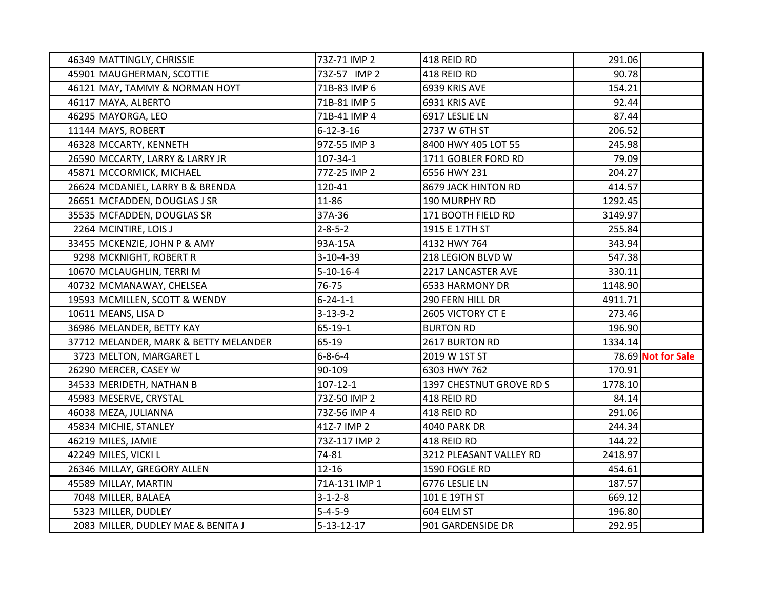| 46349 MATTINGLY, CHRISSIE             | 73Z-71 IMP 2       | 418 REID RD              | 291.06  |                    |
|---------------------------------------|--------------------|--------------------------|---------|--------------------|
| 45901 MAUGHERMAN, SCOTTIE             | 73Z-57 IMP 2       | 418 REID RD              | 90.78   |                    |
| 46121 MAY, TAMMY & NORMAN HOYT        | 71B-83 IMP 6       | 6939 KRIS AVE            | 154.21  |                    |
| 46117 MAYA, ALBERTO                   | 71B-81 IMP 5       | 6931 KRIS AVE            | 92.44   |                    |
| 46295 MAYORGA, LEO                    | 71B-41 IMP 4       | 6917 LESLIE LN           | 87.44   |                    |
| 11144 MAYS, ROBERT                    | $6 - 12 - 3 - 16$  | 2737 W 6TH ST            | 206.52  |                    |
| 46328 MCCARTY, KENNETH                | 97Z-55 IMP 3       | 8400 HWY 405 LOT 55      | 245.98  |                    |
| 26590 MCCARTY, LARRY & LARRY JR       | 107-34-1           | 1711 GOBLER FORD RD      | 79.09   |                    |
| 45871 MCCORMICK, MICHAEL              | 77Z-25 IMP 2       | 6556 HWY 231             | 204.27  |                    |
| 26624 MCDANIEL, LARRY B & BRENDA      | 120-41             | 8679 JACK HINTON RD      | 414.57  |                    |
| 26651 MCFADDEN, DOUGLAS J SR          | 11-86              | 190 MURPHY RD            | 1292.45 |                    |
| 35535 MCFADDEN, DOUGLAS SR            | 37A-36             | 171 BOOTH FIELD RD       | 3149.97 |                    |
| 2264 MCINTIRE, LOIS J                 | $2 - 8 - 5 - 2$    | 1915 E 17TH ST           | 255.84  |                    |
| 33455 MCKENZIE, JOHN P & AMY          | 93A-15A            | 4132 HWY 764             | 343.94  |                    |
| 9298 MCKNIGHT, ROBERT R               | 3-10-4-39          | 218 LEGION BLVD W        | 547.38  |                    |
| 10670 MCLAUGHLIN, TERRI M             | $5 - 10 - 16 - 4$  | 2217 LANCASTER AVE       | 330.11  |                    |
| 40732 MCMANAWAY, CHELSEA              | 76-75              | 6533 HARMONY DR          | 1148.90 |                    |
| 19593 MCMILLEN, SCOTT & WENDY         | $6 - 24 - 1 - 1$   | 290 FERN HILL DR         | 4911.71 |                    |
| 10611 MEANS, LISA D                   | $3 - 13 - 9 - 2$   | 2605 VICTORY CT E        | 273.46  |                    |
| 36986 MELANDER, BETTY KAY             | $65 - 19 - 1$      | <b>BURTON RD</b>         | 196.90  |                    |
| 37712 MELANDER, MARK & BETTY MELANDER | 65-19              | 2617 BURTON RD           | 1334.14 |                    |
| 3723 MELTON, MARGARET L               | $6 - 8 - 6 - 4$    | 2019 W 1ST ST            |         | 78.69 Not for Sale |
| 26290 MERCER, CASEY W                 | 90-109             | 6303 HWY 762             | 170.91  |                    |
| 34533 MERIDETH, NATHAN B              | $107 - 12 - 1$     | 1397 CHESTNUT GROVE RD S | 1778.10 |                    |
| 45983 MESERVE, CRYSTAL                | 73Z-50 IMP 2       | 418 REID RD              | 84.14   |                    |
| 46038 MEZA, JULIANNA                  | 73Z-56 IMP 4       | 418 REID RD              | 291.06  |                    |
| 45834 MICHIE, STANLEY                 | 41Z-7 IMP 2        | 4040 PARK DR             | 244.34  |                    |
| 46219 MILES, JAMIE                    | 73Z-117 IMP 2      | 418 REID RD              | 144.22  |                    |
| 42249 MILES, VICKI L                  | 74-81              | 3212 PLEASANT VALLEY RD  | 2418.97 |                    |
| 26346 MILLAY, GREGORY ALLEN           | $12 - 16$          | 1590 FOGLE RD            | 454.61  |                    |
| 45589 MILLAY, MARTIN                  | 71A-131 IMP 1      | 6776 LESLIE LN           | 187.57  |                    |
| 7048 MILLER, BALAEA                   | $3 - 1 - 2 - 8$    | 101 E 19TH ST            | 669.12  |                    |
| 5323 MILLER, DUDLEY                   | $5 - 4 - 5 - 9$    | 604 ELM ST               | 196.80  |                    |
| 2083 MILLER, DUDLEY MAE & BENITA J    | $5 - 13 - 12 - 17$ | 901 GARDENSIDE DR        | 292.95  |                    |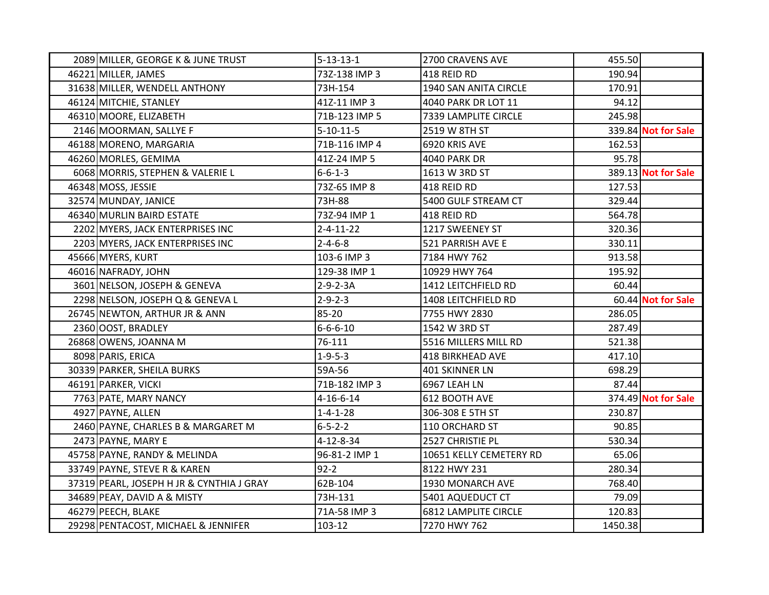| 2089 MILLER, GEORGE K & JUNE TRUST        | $5 - 13 - 13 - 1$ | 2700 CRAVENS AVE            | 455.50  |                     |
|-------------------------------------------|-------------------|-----------------------------|---------|---------------------|
| 46221 MILLER, JAMES                       | 73Z-138 IMP 3     | 418 REID RD                 | 190.94  |                     |
| 31638 MILLER, WENDELL ANTHONY             | 73H-154           | 1940 SAN ANITA CIRCLE       | 170.91  |                     |
| 46124 MITCHIE, STANLEY                    | 41Z-11 IMP 3      | 4040 PARK DR LOT 11         | 94.12   |                     |
| 46310 MOORE, ELIZABETH                    | 71B-123 IMP 5     | 7339 LAMPLITE CIRCLE        | 245.98  |                     |
| 2146 MOORMAN, SALLYE F                    | $5 - 10 - 11 - 5$ | 2519 W 8TH ST               |         | 339.84 Not for Sale |
| 46188 MORENO, MARGARIA                    | 71B-116 IMP 4     | 6920 KRIS AVE               | 162.53  |                     |
| 46260 MORLES, GEMIMA                      | 41Z-24 IMP 5      | 4040 PARK DR                | 95.78   |                     |
| 6068 MORRIS, STEPHEN & VALERIE L          | $6 - 6 - 1 - 3$   | 1613 W 3RD ST               |         | 389.13 Not for Sale |
| 46348 MOSS, JESSIE                        | 73Z-65 IMP 8      | 418 REID RD                 | 127.53  |                     |
| 32574 MUNDAY, JANICE                      | 73H-88            | 5400 GULF STREAM CT         | 329.44  |                     |
| 46340 MURLIN BAIRD ESTATE                 | 73Z-94 IMP 1      | 418 REID RD                 | 564.78  |                     |
| 2202 MYERS, JACK ENTERPRISES INC          | $2 - 4 - 11 - 22$ | 1217 SWEENEY ST             | 320.36  |                     |
| 2203 MYERS, JACK ENTERPRISES INC          | $2 - 4 - 6 - 8$   | 521 PARRISH AVE E           | 330.11  |                     |
| 45666 MYERS, KURT                         | 103-6 IMP 3       | 7184 HWY 762                | 913.58  |                     |
| 46016 NAFRADY, JOHN                       | 129-38 IMP 1      | 10929 HWY 764               | 195.92  |                     |
| 3601 NELSON, JOSEPH & GENEVA              | $2 - 9 - 2 - 3A$  | 1412 LEITCHFIELD RD         | 60.44   |                     |
| 2298 NELSON, JOSEPH Q & GENEVA L          | $2 - 9 - 2 - 3$   | 1408 LEITCHFIELD RD         |         | 60.44 Not for Sale  |
| 26745 NEWTON, ARTHUR JR & ANN             | 85-20             | 7755 HWY 2830               | 286.05  |                     |
| 2360 OOST, BRADLEY                        | $6 - 6 - 6 - 10$  | 1542 W 3RD ST               | 287.49  |                     |
| 26868 OWENS, JOANNA M                     | 76-111            | 5516 MILLERS MILL RD        | 521.38  |                     |
| 8098 PARIS, ERICA                         | $1 - 9 - 5 - 3$   | <b>418 BIRKHEAD AVE</b>     | 417.10  |                     |
| 30339 PARKER, SHEILA BURKS                | 59A-56            | 401 SKINNER LN              | 698.29  |                     |
| 46191 PARKER, VICKI                       | 71B-182 IMP 3     | 6967 LEAH LN                | 87.44   |                     |
| 7763 PATE, MARY NANCY                     | $4 - 16 - 6 - 14$ | 612 BOOTH AVE               |         | 374.49 Not for Sale |
| 4927 PAYNE, ALLEN                         | $1 - 4 - 1 - 28$  | 306-308 E 5TH ST            | 230.87  |                     |
| 2460 PAYNE, CHARLES B & MARGARET M        | $6 - 5 - 2 - 2$   | 110 ORCHARD ST              | 90.85   |                     |
| 2473 PAYNE, MARY E                        | 4-12-8-34         | 2527 CHRISTIE PL            | 530.34  |                     |
| 45758 PAYNE, RANDY & MELINDA              | 96-81-2 IMP 1     | 10651 KELLY CEMETERY RD     | 65.06   |                     |
| 33749 PAYNE, STEVE R & KAREN              | $92 - 2$          | 8122 HWY 231                | 280.34  |                     |
| 37319 PEARL, JOSEPH H JR & CYNTHIA J GRAY | 62B-104           | 1930 MONARCH AVE            | 768.40  |                     |
| 34689 PEAY, DAVID A & MISTY               | 73H-131           | 5401 AQUEDUCT CT            | 79.09   |                     |
| 46279 PEECH, BLAKE                        | 71A-58 IMP 3      | <b>6812 LAMPLITE CIRCLE</b> | 120.83  |                     |
| 29298 PENTACOST, MICHAEL & JENNIFER       | 103-12            | 7270 HWY 762                | 1450.38 |                     |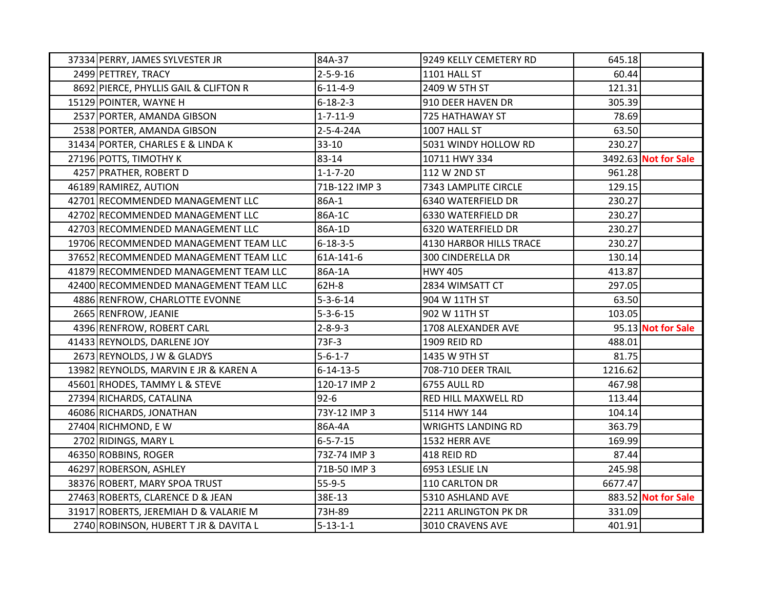| 37334 PERRY, JAMES SYLVESTER JR       | 84A-37            | 9249 KELLY CEMETERY RD    | 645.18  |                      |
|---------------------------------------|-------------------|---------------------------|---------|----------------------|
| 2499 PETTREY, TRACY                   | $2 - 5 - 9 - 16$  | 1101 HALL ST              | 60.44   |                      |
| 8692 PIERCE, PHYLLIS GAIL & CLIFTON R | $6 - 11 - 4 - 9$  | 2409 W 5TH ST             | 121.31  |                      |
| 15129 POINTER, WAYNE H                | $6 - 18 - 2 - 3$  | 910 DEER HAVEN DR         | 305.39  |                      |
| 2537 PORTER, AMANDA GIBSON            | $1 - 7 - 11 - 9$  | 725 HATHAWAY ST           | 78.69   |                      |
| 2538 PORTER, AMANDA GIBSON            | 2-5-4-24A         | 1007 HALL ST              | 63.50   |                      |
| 31434 PORTER, CHARLES E & LINDA K     | $33 - 10$         | 5031 WINDY HOLLOW RD      | 230.27  |                      |
| 27196 POTTS, TIMOTHY K                | 83-14             | 10711 HWY 334             |         | 3492.63 Not for Sale |
| 4257 PRATHER, ROBERT D                | $1 - 1 - 7 - 20$  | 112 W 2ND ST              | 961.28  |                      |
| 46189 RAMIREZ, AUTION                 | 71B-122 IMP 3     | 7343 LAMPLITE CIRCLE      | 129.15  |                      |
| 42701 RECOMMENDED MANAGEMENT LLC      | 86A-1             | 6340 WATERFIELD DR        | 230.27  |                      |
| 42702 RECOMMENDED MANAGEMENT LLC      | 86A-1C            | 6330 WATERFIELD DR        | 230.27  |                      |
| 42703 RECOMMENDED MANAGEMENT LLC      | 86A-1D            | 6320 WATERFIELD DR        | 230.27  |                      |
| 19706 RECOMMENDED MANAGEMENT TEAM LLC | $6 - 18 - 3 - 5$  | 4130 HARBOR HILLS TRACE   | 230.27  |                      |
| 37652 RECOMMENDED MANAGEMENT TEAM LLC | 61A-141-6         | <b>300 CINDERELLA DR</b>  | 130.14  |                      |
| 41879 RECOMMENDED MANAGEMENT TEAM LLC | 86A-1A            | <b>HWY 405</b>            | 413.87  |                      |
| 42400 RECOMMENDED MANAGEMENT TEAM LLC | 62H-8             | 2834 WIMSATT CT           | 297.05  |                      |
| 4886 RENFROW, CHARLOTTE EVONNE        | $5 - 3 - 6 - 14$  | 904 W 11TH ST             | 63.50   |                      |
| 2665 RENFROW, JEANIE                  | $5 - 3 - 6 - 15$  | 902 W 11TH ST             | 103.05  |                      |
| 4396 RENFROW, ROBERT CARL             | $2 - 8 - 9 - 3$   | 1708 ALEXANDER AVE        |         | 95.13 Not for Sale   |
| 41433 REYNOLDS, DARLENE JOY           | 73F-3             | 1909 REID RD              | 488.01  |                      |
| 2673 REYNOLDS, J W & GLADYS           | $5 - 6 - 1 - 7$   | 1435 W 9TH ST             | 81.75   |                      |
| 13982 REYNOLDS, MARVIN E JR & KAREN A | $6 - 14 - 13 - 5$ | 708-710 DEER TRAIL        | 1216.62 |                      |
| 45601 RHODES, TAMMY L & STEVE         | 120-17 IMP 2      | 6755 AULL RD              | 467.98  |                      |
| 27394 RICHARDS, CATALINA              | $92 - 6$          | RED HILL MAXWELL RD       | 113.44  |                      |
| 46086 RICHARDS, JONATHAN              | 73Y-12 IMP 3      | 5114 HWY 144              | 104.14  |                      |
| 27404 RICHMOND, EW                    | 86A-4A            | <b>WRIGHTS LANDING RD</b> | 363.79  |                      |
| 2702 RIDINGS, MARY L                  | $6 - 5 - 7 - 15$  | 1532 HERR AVE             | 169.99  |                      |
| 46350 ROBBINS, ROGER                  | 73Z-74 IMP 3      | 418 REID RD               | 87.44   |                      |
| 46297 ROBERSON, ASHLEY                | 71B-50 IMP 3      | 6953 LESLIE LN            | 245.98  |                      |
| 38376 ROBERT, MARY SPOA TRUST         | $55-9-5$          | 110 CARLTON DR            | 6677.47 |                      |
| 27463 ROBERTS, CLARENCE D & JEAN      | 38E-13            | 5310 ASHLAND AVE          |         | 883.52 Not for Sale  |
| 31917 ROBERTS, JEREMIAH D & VALARIE M | 73H-89            | 2211 ARLINGTON PK DR      | 331.09  |                      |
| 2740 ROBINSON, HUBERT T JR & DAVITA L | $5 - 13 - 1 - 1$  | 3010 CRAVENS AVE          | 401.91  |                      |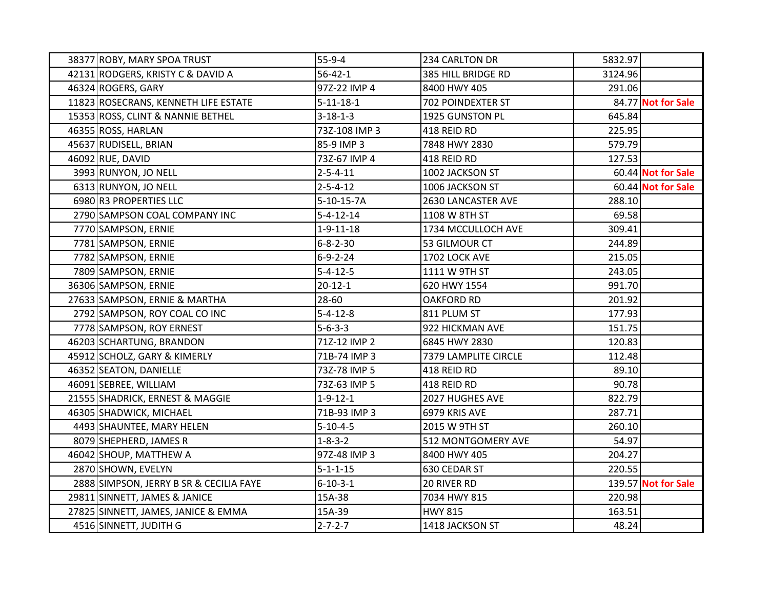| 38377 ROBY, MARY SPOA TRUST             | $55-9-4$          | 234 CARLTON DR       | 5832.97 |                     |
|-----------------------------------------|-------------------|----------------------|---------|---------------------|
| 42131 RODGERS, KRISTY C & DAVID A       | $56 - 42 - 1$     | 385 HILL BRIDGE RD   | 3124.96 |                     |
| 46324 ROGERS, GARY                      | 97Z-22 IMP 4      | 8400 HWY 405         | 291.06  |                     |
| 11823 ROSECRANS, KENNETH LIFE ESTATE    | $5 - 11 - 18 - 1$ | 702 POINDEXTER ST    |         | 84.77 Not for Sale  |
| 15353 ROSS, CLINT & NANNIE BETHEL       | $3 - 18 - 1 - 3$  | 1925 GUNSTON PL      | 645.84  |                     |
| 46355 ROSS, HARLAN                      | 73Z-108 IMP 3     | 418 REID RD          | 225.95  |                     |
| 45637 RUDISELL, BRIAN                   | 85-9 IMP 3        | 7848 HWY 2830        | 579.79  |                     |
| 46092 RUE, DAVID                        | 73Z-67 IMP 4      | 418 REID RD          | 127.53  |                     |
| 3993 RUNYON, JO NELL                    | $2 - 5 - 4 - 11$  | 1002 JACKSON ST      |         | 60.44 Not for Sale  |
| 6313 RUNYON, JO NELL                    | $2 - 5 - 4 - 12$  | 1006 JACKSON ST      |         | 60.44 Not for Sale  |
| 6980 R3 PROPERTIES LLC                  | 5-10-15-7A        | 2630 LANCASTER AVE   | 288.10  |                     |
| 2790 SAMPSON COAL COMPANY INC           | $5 - 4 - 12 - 14$ | 1108 W 8TH ST        | 69.58   |                     |
| 7770 SAMPSON, ERNIE                     | $1 - 9 - 11 - 18$ | 1734 MCCULLOCH AVE   | 309.41  |                     |
| 7781 SAMPSON, ERNIE                     | $6 - 8 - 2 - 30$  | 53 GILMOUR CT        | 244.89  |                     |
| 7782 SAMPSON, ERNIE                     | $6 - 9 - 2 - 24$  | 1702 LOCK AVE        | 215.05  |                     |
| 7809 SAMPSON, ERNIE                     | $5 - 4 - 12 - 5$  | 1111 W 9TH ST        | 243.05  |                     |
| 36306 SAMPSON, ERNIE                    | 20-12-1           | 620 HWY 1554         | 991.70  |                     |
| 27633 SAMPSON, ERNIE & MARTHA           | 28-60             | <b>OAKFORD RD</b>    | 201.92  |                     |
| 2792 SAMPSON, ROY COAL CO INC           | $5 - 4 - 12 - 8$  | 811 PLUM ST          | 177.93  |                     |
| 7778 SAMPSON, ROY ERNEST                | $5 - 6 - 3 - 3$   | 922 HICKMAN AVE      | 151.75  |                     |
| 46203 SCHARTUNG, BRANDON                | 71Z-12 IMP 2      | 6845 HWY 2830        | 120.83  |                     |
| 45912 SCHOLZ, GARY & KIMERLY            | 71B-74 IMP 3      | 7379 LAMPLITE CIRCLE | 112.48  |                     |
| 46352 SEATON, DANIELLE                  | 73Z-78 IMP 5      | 418 REID RD          | 89.10   |                     |
| 46091 SEBREE, WILLIAM                   | 73Z-63 IMP 5      | 418 REID RD          | 90.78   |                     |
| 21555 SHADRICK, ERNEST & MAGGIE         | $1 - 9 - 12 - 1$  | 2027 HUGHES AVE      | 822.79  |                     |
| 46305 SHADWICK, MICHAEL                 | 71B-93 IMP 3      | 6979 KRIS AVE        | 287.71  |                     |
| 4493 SHAUNTEE, MARY HELEN               | $5 - 10 - 4 - 5$  | 2015 W 9TH ST        | 260.10  |                     |
| 8079 SHEPHERD, JAMES R                  | $1 - 8 - 3 - 2$   | 512 MONTGOMERY AVE   | 54.97   |                     |
| 46042 SHOUP, MATTHEW A                  | 97Z-48 IMP 3      | 8400 HWY 405         | 204.27  |                     |
| 2870 SHOWN, EVELYN                      | $5 - 1 - 1 - 15$  | 630 CEDAR ST         | 220.55  |                     |
| 2888 SIMPSON, JERRY B SR & CECILIA FAYE | $6 - 10 - 3 - 1$  | 20 RIVER RD          |         | 139.57 Not for Sale |
| 29811 SINNETT, JAMES & JANICE           | 15A-38            | 7034 HWY 815         | 220.98  |                     |
| 27825 SINNETT, JAMES, JANICE & EMMA     | 15A-39            | <b>HWY 815</b>       | 163.51  |                     |
| 4516 SINNETT, JUDITH G                  | $2 - 7 - 2 - 7$   | 1418 JACKSON ST      | 48.24   |                     |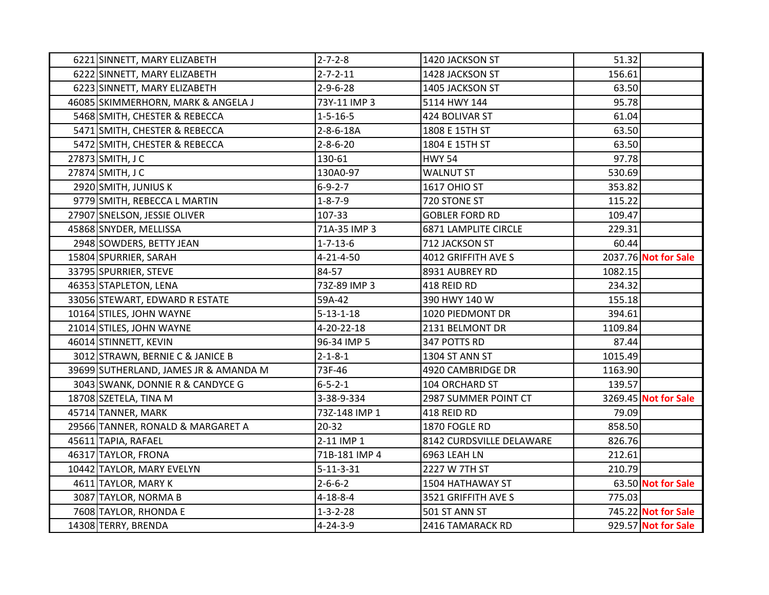| 6221 SINNETT, MARY ELIZABETH          | $2 - 7 - 2 - 8$   | 1420 JACKSON ST          | 51.32   |                      |
|---------------------------------------|-------------------|--------------------------|---------|----------------------|
| 6222 SINNETT, MARY ELIZABETH          | $2 - 7 - 2 - 11$  | 1428 JACKSON ST          | 156.61  |                      |
| 6223 SINNETT, MARY ELIZABETH          | $2 - 9 - 6 - 28$  | 1405 JACKSON ST          | 63.50   |                      |
| 46085 SKIMMERHORN, MARK & ANGELA J    | 73Y-11 IMP 3      | 5114 HWY 144             | 95.78   |                      |
| 5468 SMITH, CHESTER & REBECCA         | $1 - 5 - 16 - 5$  | 424 BOLIVAR ST           | 61.04   |                      |
| 5471 SMITH, CHESTER & REBECCA         | 2-8-6-18A         | 1808 E 15TH ST           | 63.50   |                      |
| 5472 SMITH, CHESTER & REBECCA         | $2 - 8 - 6 - 20$  | 1804 E 15TH ST           | 63.50   |                      |
| 27873 SMITH, J C                      | 130-61            | <b>HWY 54</b>            | 97.78   |                      |
| 27874 SMITH, J C                      | 130A0-97          | <b>WALNUT ST</b>         | 530.69  |                      |
| 2920 SMITH, JUNIUS K                  | $6 - 9 - 2 - 7$   | <b>1617 OHIO ST</b>      | 353.82  |                      |
| 9779 SMITH, REBECCA L MARTIN          | $1 - 8 - 7 - 9$   | 720 STONE ST             | 115.22  |                      |
| 27907 SNELSON, JESSIE OLIVER          | 107-33            | <b>GOBLER FORD RD</b>    | 109.47  |                      |
| 45868 SNYDER, MELLISSA                | 71A-35 IMP 3      | 6871 LAMPLITE CIRCLE     | 229.31  |                      |
| 2948 SOWDERS, BETTY JEAN              | $1 - 7 - 13 - 6$  | 712 JACKSON ST           | 60.44   |                      |
| 15804 SPURRIER, SARAH                 | $4 - 21 - 4 - 50$ | 4012 GRIFFITH AVE S      |         | 2037.76 Not for Sale |
| 33795 SPURRIER, STEVE                 | 84-57             | 8931 AUBREY RD           | 1082.15 |                      |
| 46353 STAPLETON, LENA                 | 73Z-89 IMP 3      | 418 REID RD              | 234.32  |                      |
| 33056 STEWART, EDWARD R ESTATE        | 59A-42            | 390 HWY 140 W            | 155.18  |                      |
| 10164 STILES, JOHN WAYNE              | $5 - 13 - 1 - 18$ | 1020 PIEDMONT DR         | 394.61  |                      |
| 21014 STILES, JOHN WAYNE              | 4-20-22-18        | 2131 BELMONT DR          | 1109.84 |                      |
| 46014 STINNETT, KEVIN                 | 96-34 IMP 5       | 347 POTTS RD             | 87.44   |                      |
| 3012 STRAWN, BERNIE C & JANICE B      | $2 - 1 - 8 - 1$   | 1304 ST ANN ST           | 1015.49 |                      |
| 39699 SUTHERLAND, JAMES JR & AMANDA M | 73F-46            | 4920 CAMBRIDGE DR        | 1163.90 |                      |
| 3043 SWANK, DONNIE R & CANDYCE G      | $6 - 5 - 2 - 1$   | 104 ORCHARD ST           | 139.57  |                      |
| 18708 SZETELA, TINA M                 | 3-38-9-334        | 2987 SUMMER POINT CT     |         | 3269.45 Not for Sale |
| 45714 TANNER, MARK                    | 73Z-148 IMP 1     | 418 REID RD              | 79.09   |                      |
| 29566 TANNER, RONALD & MARGARET A     | $20 - 32$         | 1870 FOGLE RD            | 858.50  |                      |
| 45611 TAPIA, RAFAEL                   | 2-11 IMP 1        | 8142 CURDSVILLE DELAWARE | 826.76  |                      |
| 46317 TAYLOR, FRONA                   | 71B-181 IMP 4     | 6963 LEAH LN             | 212.61  |                      |
| 10442 TAYLOR, MARY EVELYN             | $5 - 11 - 3 - 31$ | 2227 W 7TH ST            | 210.79  |                      |
| 4611 TAYLOR, MARY K                   | $2 - 6 - 6 - 2$   | 1504 HATHAWAY ST         |         | 63.50 Not for Sale   |
| 3087 TAYLOR, NORMA B                  | $4 - 18 - 8 - 4$  | 3521 GRIFFITH AVE S      | 775.03  |                      |
| 7608 TAYLOR, RHONDA E                 | $1 - 3 - 2 - 28$  | 501 ST ANN ST            |         | 745.22 Not for Sale  |
| 14308 TERRY, BRENDA                   | $4 - 24 - 3 - 9$  | 2416 TAMARACK RD         |         | 929.57 Not for Sale  |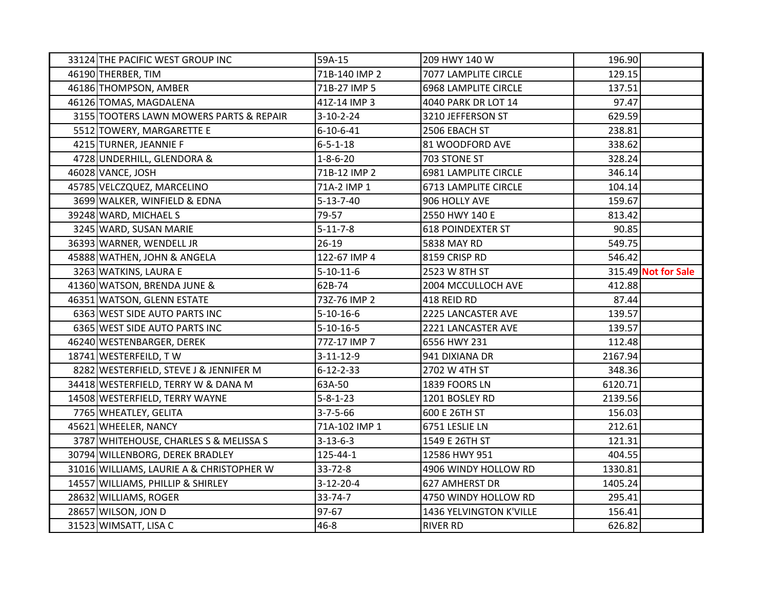| 33124 THE PACIFIC WEST GROUP INC         | 59A-15            | 209 HWY 140 W               | 196.90  |                     |
|------------------------------------------|-------------------|-----------------------------|---------|---------------------|
| 46190 THERBER, TIM                       | 71B-140 IMP 2     | 7077 LAMPLITE CIRCLE        | 129.15  |                     |
| 46186 THOMPSON, AMBER                    | 71B-27 IMP 5      | <b>6968 LAMPLITE CIRCLE</b> | 137.51  |                     |
| 46126 TOMAS, MAGDALENA                   | 41Z-14 IMP 3      | 4040 PARK DR LOT 14         | 97.47   |                     |
| 3155 TOOTERS LAWN MOWERS PARTS & REPAIR  | $3-10-2-24$       | 3210 JEFFERSON ST           | 629.59  |                     |
| 5512 TOWERY, MARGARETTE E                | $6 - 10 - 6 - 41$ | 2506 EBACH ST               | 238.81  |                     |
| 4215 TURNER, JEANNIE F                   | $6 - 5 - 1 - 18$  | 81 WOODFORD AVE             | 338.62  |                     |
| 4728 UNDERHILL, GLENDORA &               | $1 - 8 - 6 - 20$  | 703 STONE ST                | 328.24  |                     |
| 46028 VANCE, JOSH                        | 71B-12 IMP 2      | 6981 LAMPLITE CIRCLE        | 346.14  |                     |
| 45785 VELCZQUEZ, MARCELINO               | 71A-2 IMP 1       | 6713 LAMPLITE CIRCLE        | 104.14  |                     |
| 3699 WALKER, WINFIELD & EDNA             | $5 - 13 - 7 - 40$ | 906 HOLLY AVE               | 159.67  |                     |
| 39248 WARD, MICHAEL S                    | 79-57             | 2550 HWY 140 E              | 813.42  |                     |
| 3245 WARD, SUSAN MARIE                   | $5 - 11 - 7 - 8$  | <b>618 POINDEXTER ST</b>    | 90.85   |                     |
| 36393 WARNER, WENDELL JR                 | $26-19$           | 5838 MAY RD                 | 549.75  |                     |
| 45888 WATHEN, JOHN & ANGELA              | 122-67 IMP 4      | 8159 CRISP RD               | 546.42  |                     |
| 3263 WATKINS, LAURA E                    | $5 - 10 - 11 - 6$ | 2523 W 8TH ST               |         | 315.49 Not for Sale |
| 41360 WATSON, BRENDA JUNE &              | 62B-74            | 2004 MCCULLOCH AVE          | 412.88  |                     |
| 46351 WATSON, GLENN ESTATE               | 73Z-76 IMP 2      | 418 REID RD                 | 87.44   |                     |
| 6363 WEST SIDE AUTO PARTS INC            | $5 - 10 - 16 - 6$ | 2225 LANCASTER AVE          | 139.57  |                     |
| 6365 WEST SIDE AUTO PARTS INC            | $5 - 10 - 16 - 5$ | 2221 LANCASTER AVE          | 139.57  |                     |
| 46240 WESTENBARGER, DEREK                | 77Z-17 IMP 7      | 6556 HWY 231                | 112.48  |                     |
| 18741 WESTERFEILD, TW                    | $3-11-12-9$       | 941 DIXIANA DR              | 2167.94 |                     |
| 8282 WESTERFIELD, STEVE J & JENNIFER M   | $6 - 12 - 2 - 33$ | 2702 W 4TH ST               | 348.36  |                     |
| 34418 WESTERFIELD, TERRY W & DANA M      | 63A-50            | 1839 FOORS LN               | 6120.71 |                     |
| 14508 WESTERFIELD, TERRY WAYNE           | $5 - 8 - 1 - 23$  | 1201 BOSLEY RD              | 2139.56 |                     |
| 7765 WHEATLEY, GELITA                    | $3 - 7 - 5 - 66$  | 600 E 26TH ST               | 156.03  |                     |
| 45621 WHEELER, NANCY                     | 71A-102 IMP 1     | 6751 LESLIE LN              | 212.61  |                     |
| 3787 WHITEHOUSE, CHARLES S & MELISSA S   | $3 - 13 - 6 - 3$  | 1549 E 26TH ST              | 121.31  |                     |
| 30794 WILLENBORG, DEREK BRADLEY          | 125-44-1          | 12586 HWY 951               | 404.55  |                     |
| 31016 WILLIAMS, LAURIE A & CHRISTOPHER W | $33 - 72 - 8$     | 4906 WINDY HOLLOW RD        | 1330.81 |                     |
| 14557 WILLIAMS, PHILLIP & SHIRLEY        | $3-12-20-4$       | 627 AMHERST DR              | 1405.24 |                     |
| 28632 WILLIAMS, ROGER                    | 33-74-7           | 4750 WINDY HOLLOW RD        | 295.41  |                     |
| 28657 WILSON, JON D                      | 97-67             | 1436 YELVINGTON K'VILLE     | 156.41  |                     |
| 31523 WIMSATT, LISA C                    | $46 - 8$          | <b>RIVER RD</b>             | 626.82  |                     |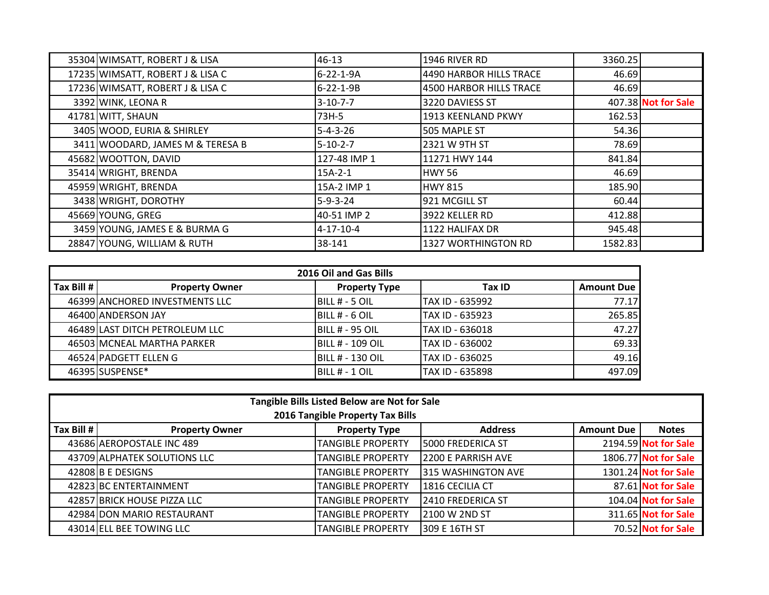| 35304 WIMSATT, ROBERT J & LISA   | 46-13             | 1946 RIVER RD           | 3360.25 |                     |
|----------------------------------|-------------------|-------------------------|---------|---------------------|
| 17235 WIMSATT, ROBERT J & LISA C | 6-22-1-9A         | 4490 HARBOR HILLS TRACE | 46.69   |                     |
| 17236 WIMSATT, ROBERT J & LISA C | $6 - 22 - 1 - 9B$ | 4500 HARBOR HILLS TRACE | 46.69   |                     |
| 3392 WINK, LEONA R               | $3 - 10 - 7 - 7$  | 3220 DAVIESS ST         |         | 407.38 Not for Sale |
| 41781 WITT, SHAUN                | 73H-5             | 1913 KEENLAND PKWY      | 162.53  |                     |
| 3405 WOOD, EURIA & SHIRLEY       | $5 - 4 - 3 - 26$  | <b>505 MAPLE ST</b>     | 54.36   |                     |
| 3411 WOODARD, JAMES M & TERESA B | $15 - 10 - 2 - 7$ | 2321 W 9TH ST           | 78.69   |                     |
| 45682 WOOTTON, DAVID             | 127-48 IMP 1      | 11271 HWY 144           | 841.84  |                     |
| 35414 WRIGHT, BRENDA             | $15A-2-1$         | HWY 56                  | 46.69   |                     |
| 45959 WRIGHT, BRENDA             | 15A-2 IMP 1       | <b>HWY 815</b>          | 185.90  |                     |
| 3438 WRIGHT, DOROTHY             | $5 - 9 - 3 - 24$  | 921 MCGILL ST           | 60.44   |                     |
| 45669 YOUNG, GREG                | 40-51 IMP 2       | 13922 KELLER RD         | 412.88  |                     |
| 3459 YOUNG, JAMES E & BURMA G    | $4 - 17 - 10 - 4$ | 1122 HALIFAX DR         | 945.48  |                     |
| 28847 YOUNG, WILLIAM & RUTH      | 38-141            | 1327 WORTHINGTON RD     | 1582.83 |                     |

| 2016 Oil and Gas Bills |                                |                         |                  |                   |  |  |
|------------------------|--------------------------------|-------------------------|------------------|-------------------|--|--|
| Tax Bill #             | <b>Property Owner</b>          | <b>Property Type</b>    | <b>Tax ID</b>    | <b>Amount Due</b> |  |  |
|                        | 46399 ANCHORED INVESTMENTS LLC | <b>IBILL # - 5 OIL</b>  | ITAX ID - 635992 | 77.17             |  |  |
|                        | 46400 ANDERSON JAY             | <b>IBILL # - 6 OIL</b>  | TAX ID - 635923  | 265.85            |  |  |
|                        | 46489 LAST DITCH PETROLEUM LLC | IBILL # - 95 OIL        | ITAX ID - 636018 | 47.27             |  |  |
|                        | 46503 MCNEAL MARTHA PARKER     | IBILL # - 109 OIL       | ITAX ID - 636002 | 69.33             |  |  |
|                        | 46524 PADGETT ELLEN G          | <b>BILL # - 130 OIL</b> | TAX ID - 636025  | 49.16             |  |  |
|                        | 46395 SUSPENSE*                | IBILL # - 1 OIL         | ITAX ID - 635898 | 497.09            |  |  |

| Tangible Bills Listed Below are Not for Sale<br>2016 Tangible Property Tax Bills |                              |                          |                          |                   |                      |  |
|----------------------------------------------------------------------------------|------------------------------|--------------------------|--------------------------|-------------------|----------------------|--|
| Tax Bill $#$                                                                     | <b>Property Owner</b>        | <b>Property Type</b>     | <b>Address</b>           | <b>Amount Due</b> | <b>Notes</b>         |  |
|                                                                                  | 43686 AEROPOSTALE INC 489    | <b>TANGIBLE PROPERTY</b> | I5000 FREDERICA ST       |                   | 2194.59 Not for Sale |  |
|                                                                                  | 43709 ALPHATEK SOLUTIONS LLC | <b>TANGIBLE PROPERTY</b> | 2200 E PARRISH AVE       |                   | 1806.77 Not for Sale |  |
|                                                                                  | 42808 B E DESIGNS            | <b>TANGIBLE PROPERTY</b> | 315 WASHINGTON AVE       |                   | 1301.24 Not for Sale |  |
|                                                                                  | 42823 BC ENTERTAINMENT       | <b>TANGIBLE PROPERTY</b> | 1816 CECILIA CT          |                   | 87.61 Not for Sale   |  |
|                                                                                  | 42857 BRICK HOUSE PIZZA LLC  | <b>TANGIBLE PROPERTY</b> | <b>2410 FREDERICA ST</b> |                   | 104.04 Not for Sale  |  |
|                                                                                  | 42984 DON MARIO RESTAURANT   | <b>TANGIBLE PROPERTY</b> | 2100 W 2ND ST            |                   | 311.65 Not for Sale  |  |
|                                                                                  | 43014 ELL BEE TOWING LLC     | <b>TANGIBLE PROPERTY</b> | 309 E 16TH ST            |                   | 70.52 Not for Sale   |  |